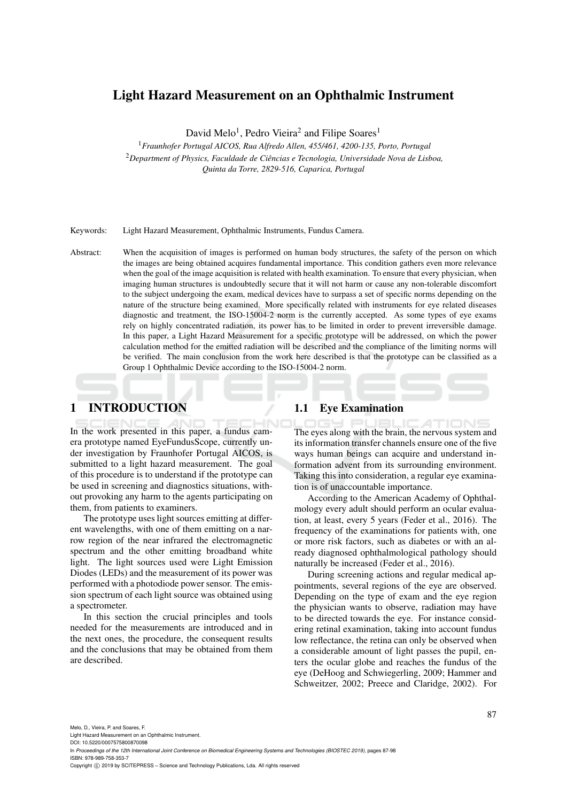# Light Hazard Measurement on an Ophthalmic Instrument

David Melo<sup>1</sup>, Pedro Vieira<sup>2</sup> and Filipe Soares<sup>1</sup>

<sup>1</sup>*Fraunhofer Portugal AICOS, Rua Alfredo Allen, 455/461, 4200-135, Porto, Portugal* <sup>2</sup>*Department of Physics, Faculdade de Ciencias e Tecnologia, Universidade Nova de Lisboa, ˆ*

*Quinta da Torre, 2829-516, Caparica, Portugal*

Keywords: Light Hazard Measurement, Ophthalmic Instruments, Fundus Camera.

Abstract: When the acquisition of images is performed on human body structures, the safety of the person on which the images are being obtained acquires fundamental importance. This condition gathers even more relevance when the goal of the image acquisition is related with health examination. To ensure that every physician, when imaging human structures is undoubtedly secure that it will not harm or cause any non-tolerable discomfort to the subject undergoing the exam, medical devices have to surpass a set of specific norms depending on the nature of the structure being examined. More specifically related with instruments for eye related diseases diagnostic and treatment, the ISO-15004-2 norm is the currently accepted. As some types of eye exams rely on highly concentrated radiation, its power has to be limited in order to prevent irreversible damage. In this paper, a Light Hazard Measurement for a specific prototype will be addressed, on which the power calculation method for the emitted radiation will be described and the compliance of the limiting norms will be verified. The main conclusion from the work here described is that the prototype can be classified as a Group 1 Ophthalmic Device according to the ISO-15004-2 norm.

# 1 INTRODUCTION

In the work presented in this paper, a fundus camera prototype named EyeFundusScope, currently under investigation by Fraunhofer Portugal AICOS, is submitted to a light hazard measurement. The goal of this procedure is to understand if the prototype can be used in screening and diagnostics situations, without provoking any harm to the agents participating on them, from patients to examiners.

The prototype uses light sources emitting at different wavelengths, with one of them emitting on a narrow region of the near infrared the electromagnetic spectrum and the other emitting broadband white light. The light sources used were Light Emission Diodes (LEDs) and the measurement of its power was performed with a photodiode power sensor. The emission spectrum of each light source was obtained using a spectrometer.

In this section the crucial principles and tools needed for the measurements are introduced and in the next ones, the procedure, the consequent results and the conclusions that may be obtained from them are described.

#### 1.1 Eye Examination

The eyes along with the brain, the nervous system and its information transfer channels ensure one of the five ways human beings can acquire and understand information advent from its surrounding environment. Taking this into consideration, a regular eye examination is of unaccountable importance.

According to the American Academy of Ophthalmology every adult should perform an ocular evaluation, at least, every 5 years (Feder et al., 2016). The frequency of the examinations for patients with, one or more risk factors, such as diabetes or with an already diagnosed ophthalmological pathology should naturally be increased (Feder et al., 2016).

During screening actions and regular medical appointments, several regions of the eye are observed. Depending on the type of exam and the eye region the physician wants to observe, radiation may have to be directed towards the eye. For instance considering retinal examination, taking into account fundus low reflectance, the retina can only be observed when a considerable amount of light passes the pupil, enters the ocular globe and reaches the fundus of the eye (DeHoog and Schwiegerling, 2009; Hammer and Schweitzer, 2002; Preece and Claridge, 2002). For

Melo, D., Vieira, P. and Soares, F.

Light Hazard Measurement on an Ophthalmic Instrument. DOI: 10.5220/0007575800870098

In *Proceedings of the 12th International Joint Conference on Biomedical Engineering Systems and Technologies (BIOSTEC 2019)*, pages 87-98 ISBN: 978-989-758-353-7

Copyright (C) 2019 by SCITEPRESS - Science and Technology Publications, Lda. All rights reserved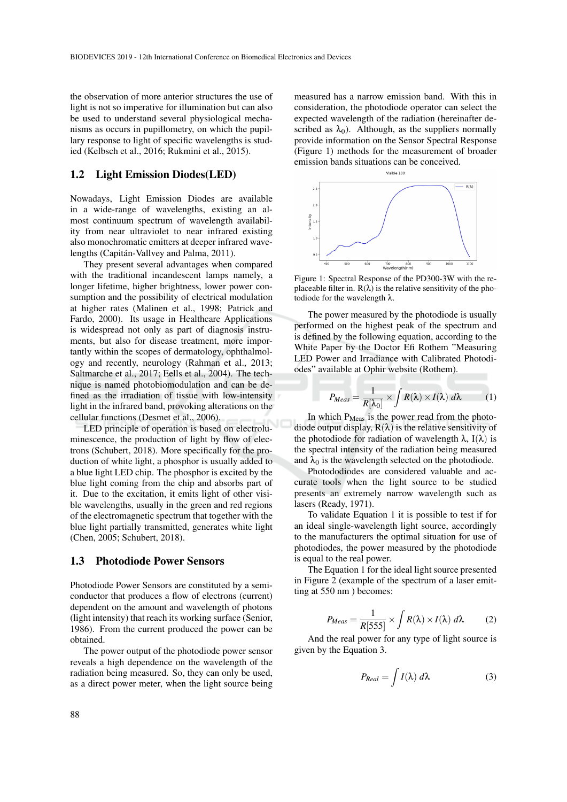the observation of more anterior structures the use of light is not so imperative for illumination but can also be used to understand several physiological mechanisms as occurs in pupillometry, on which the pupillary response to light of specific wavelengths is studied (Kelbsch et al., 2016; Rukmini et al., 2015).

#### 1.2 Light Emission Diodes(LED)

Nowadays, Light Emission Diodes are available in a wide-range of wavelengths, existing an almost continuum spectrum of wavelength availability from near ultraviolet to near infrared existing also monochromatic emitters at deeper infrared wavelengths (Capitán-Vallvey and Palma, 2011).

They present several advantages when compared with the traditional incandescent lamps namely, a longer lifetime, higher brightness, lower power consumption and the possibility of electrical modulation at higher rates (Malinen et al., 1998; Patrick and Fardo, 2000). Its usage in Healthcare Applications is widespread not only as part of diagnosis instruments, but also for disease treatment, more importantly within the scopes of dermatology, ophthalmology and recently, neurology (Rahman et al., 2013; Saltmarche et al., 2017; Eells et al., 2004). The technique is named photobiomodulation and can be defined as the irradiation of tissue with low-intensity light in the infrared band, provoking alterations on the cellular functions (Desmet et al., 2006).

LED principle of operation is based on electroluminescence, the production of light by flow of electrons (Schubert, 2018). More specifically for the production of white light, a phosphor is usually added to a blue light LED chip. The phosphor is excited by the blue light coming from the chip and absorbs part of it. Due to the excitation, it emits light of other visible wavelengths, usually in the green and red regions of the electromagnetic spectrum that together with the blue light partially transmitted, generates white light (Chen, 2005; Schubert, 2018).

#### 1.3 Photodiode Power Sensors

Photodiode Power Sensors are constituted by a semiconductor that produces a flow of electrons (current) dependent on the amount and wavelength of photons (light intensity) that reach its working surface (Senior, 1986). From the current produced the power can be obtained.

The power output of the photodiode power sensor reveals a high dependence on the wavelength of the radiation being measured. So, they can only be used, as a direct power meter, when the light source being

measured has a narrow emission band. With this in consideration, the photodiode operator can select the expected wavelength of the radiation (hereinafter described as  $\lambda_0$ ). Although, as the suppliers normally provide information on the Sensor Spectral Response (Figure 1) methods for the measurement of broader emission bands situations can be conceived.



Figure 1: Spectral Response of the PD300-3W with the replaceable filter in.  $R(\lambda)$  is the relative sensitivity of the photodiode for the wavelength λ.

The power measured by the photodiode is usually performed on the highest peak of the spectrum and is defined by the following equation, according to the White Paper by the Doctor Efi Rothem "Measuring LED Power and Irradiance with Calibrated Photodiodes" available at Ophir website (Rothem).

$$
P_{Meas} = \frac{1}{R[\lambda_0]} \times \int R(\lambda) \times I(\lambda) d\lambda \tag{1}
$$

In which  $P_{Meas}$  is the power read from the photodiode output display,  $R(\lambda)$  is the relative sensitivity of the photodiode for radiation of wavelength  $\lambda$ , I( $\lambda$ ) is the spectral intensity of the radiation being measured and  $\lambda_0$  is the wavelength selected on the photodiode.

Photododiodes are considered valuable and accurate tools when the light source to be studied presents an extremely narrow wavelength such as lasers (Ready, 1971).

To validate Equation 1 it is possible to test if for an ideal single-wavelength light source, accordingly to the manufacturers the optimal situation for use of photodiodes, the power measured by the photodiode is equal to the real power.

The Equation 1 for the ideal light source presented in Figure 2 (example of the spectrum of a laser emitting at 550 nm ) becomes:

$$
P_{Meas} = \frac{1}{R[555]} \times \int R(\lambda) \times I(\lambda) d\lambda \tag{2}
$$

And the real power for any type of light source is given by the Equation 3.

$$
P_{Real} = \int I(\lambda) d\lambda
$$
 (3)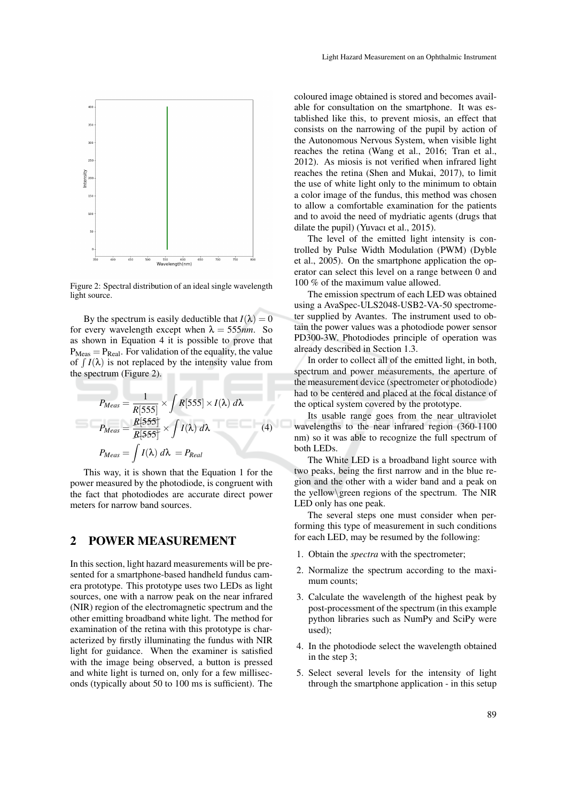

Figure 2: Spectral distribution of an ideal single wavelength light source.

By the spectrum is easily deductible that  $I(\lambda) = 0$ for every wavelength except when  $\lambda = 555$ *nm*. So as shown in Equation 4 it is possible to prove that  $P_{\text{Meas}} = P_{\text{Real}}$ . For validation of the equality, the value of  $\int I(\lambda)$  is not replaced by the intensity value from the spectrum (Figure 2).

$$
P_{Meas} = \frac{1}{R[555]} \times \int R[555] \times I(\lambda) d\lambda
$$

$$
P_{Meas} = \frac{R[555]}{R[555]} \times \int I(\lambda) d\lambda
$$

$$
P_{Meas} = \int I(\lambda) d\lambda = P_{Real}
$$
(4)

This way, it is shown that the Equation 1 for the power measured by the photodiode, is congruent with the fact that photodiodes are accurate direct power meters for narrow band sources.

# 2 POWER MEASUREMENT

In this section, light hazard measurements will be presented for a smartphone-based handheld fundus camera prototype. This prototype uses two LEDs as light sources, one with a narrow peak on the near infrared (NIR) region of the electromagnetic spectrum and the other emitting broadband white light. The method for examination of the retina with this prototype is characterized by firstly illuminating the fundus with NIR light for guidance. When the examiner is satisfied with the image being observed, a button is pressed and white light is turned on, only for a few milliseconds (typically about 50 to 100 ms is sufficient). The coloured image obtained is stored and becomes available for consultation on the smartphone. It was established like this, to prevent miosis, an effect that consists on the narrowing of the pupil by action of the Autonomous Nervous System, when visible light reaches the retina (Wang et al., 2016; Tran et al., 2012). As miosis is not verified when infrared light reaches the retina (Shen and Mukai, 2017), to limit the use of white light only to the minimum to obtain a color image of the fundus, this method was chosen to allow a comfortable examination for the patients and to avoid the need of mydriatic agents (drugs that dilate the pupil) (Yuvacı et al., 2015).

The level of the emitted light intensity is controlled by Pulse Width Modulation (PWM) (Dyble et al., 2005). On the smartphone application the operator can select this level on a range between 0 and 100 % of the maximum value allowed.

The emission spectrum of each LED was obtained using a AvaSpec-ULS2048-USB2-VA-50 spectrometer supplied by Avantes. The instrument used to obtain the power values was a photodiode power sensor PD300-3W. Photodiodes principle of operation was already described in Section 1.3.

In order to collect all of the emitted light, in both, spectrum and power measurements, the aperture of the measurement device (spectrometer or photodiode) had to be centered and placed at the focal distance of the optical system covered by the prototype.

Its usable range goes from the near ultraviolet wavelengths to the near infrared region (360-1100 nm) so it was able to recognize the full spectrum of both LEDs.

The White LED is a broadband light source with two peaks, being the first narrow and in the blue region and the other with a wider band and a peak on the yellow\green regions of the spectrum. The NIR LED only has one peak.

The several steps one must consider when performing this type of measurement in such conditions for each LED, may be resumed by the following:

- 1. Obtain the *spectra* with the spectrometer;
- 2. Normalize the spectrum according to the maximum counts;
- 3. Calculate the wavelength of the highest peak by post-processment of the spectrum (in this example python libraries such as NumPy and SciPy were used);
- 4. In the photodiode select the wavelength obtained in the step 3;
- 5. Select several levels for the intensity of light through the smartphone application - in this setup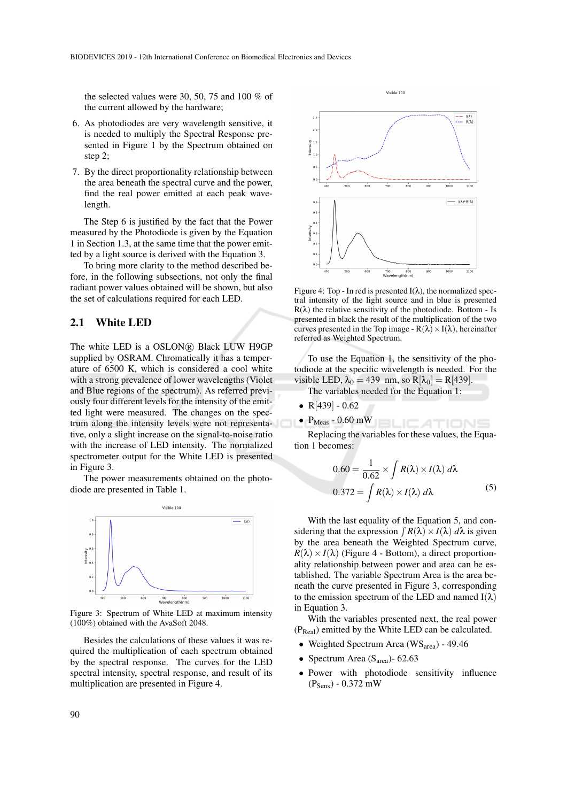the selected values were 30, 50, 75 and 100 % of the current allowed by the hardware;

- 6. As photodiodes are very wavelength sensitive, it is needed to multiply the Spectral Response presented in Figure 1 by the Spectrum obtained on step 2;
- 7. By the direct proportionality relationship between the area beneath the spectral curve and the power, find the real power emitted at each peak wavelength.

The Step 6 is justified by the fact that the Power measured by the Photodiode is given by the Equation 1 in Section 1.3, at the same time that the power emitted by a light source is derived with the Equation 3.

To bring more clarity to the method described before, in the following subsections, not only the final radiant power values obtained will be shown, but also the set of calculations required for each LED.

### 2.1 White LED

The white LED is a OSLON® Black LUW H9GP supplied by OSRAM. Chromatically it has a temperature of 6500 K, which is considered a cool white with a strong prevalence of lower wavelengths (Violet and Blue regions of the spectrum). As referred previously four different levels for the intensity of the emitted light were measured. The changes on the spectrum along the intensity levels were not representative, only a slight increase on the signal-to-noise ratio with the increase of LED intensity. The normalized spectrometer output for the White LED is presented in Figure 3.

The power measurements obtained on the photodiode are presented in Table 1.



Figure 3: Spectrum of White LED at maximum intensity (100%) obtained with the AvaSoft 2048.

Besides the calculations of these values it was required the multiplication of each spectrum obtained by the spectral response. The curves for the LED spectral intensity, spectral response, and result of its multiplication are presented in Figure 4.



Figure 4: Top - In red is presented  $I(\lambda)$ , the normalized spectral intensity of the light source and in blue is presented  $R(\lambda)$  the relative sensitivity of the photodiode. Bottom - Is presented in black the result of the multiplication of the two curves presented in the Top image -  $R(\lambda) \times I(\lambda)$ , hereinafter referred as Weighted Spectrum.

To use the Equation 1, the sensitivity of the photodiode at the specific wavelength is needed. For the visible LED,  $\lambda_0 = 439$  nm, so  $R[\lambda_0] = R[439]$ .

The variables needed for the Equation 1:

- $R[439] 0.62$
- $P_{Meas}$  0.60 mW

Replacing the variables for these values, the Equation 1 becomes:

$$
0.60 = \frac{1}{0.62} \times \int R(\lambda) \times I(\lambda) d\lambda
$$
  

$$
0.372 = \int R(\lambda) \times I(\lambda) d\lambda
$$
 (5)

**BLICATIONS** 

With the last equality of the Equation 5, and considering that the expression  $\int R(\lambda) \times I(\lambda) d\lambda$  is given by the area beneath the Weighted Spectrum curve,  $R(\lambda) \times I(\lambda)$  (Figure 4 - Bottom), a direct proportionality relationship between power and area can be established. The variable Spectrum Area is the area beneath the curve presented in Figure 3, corresponding to the emission spectrum of the LED and named  $I(\lambda)$ in Equation 3.

With the variables presented next, the real power (PReal) emitted by the White LED can be calculated.

- Weighted Spectrum Area (WS<sub>area</sub>) 49.46
- Spectrum Area ( $S<sub>area</sub>$ )- 62.63
- Power with photodiode sensitivity influence  $(P_{Sens}) - 0.372$  mW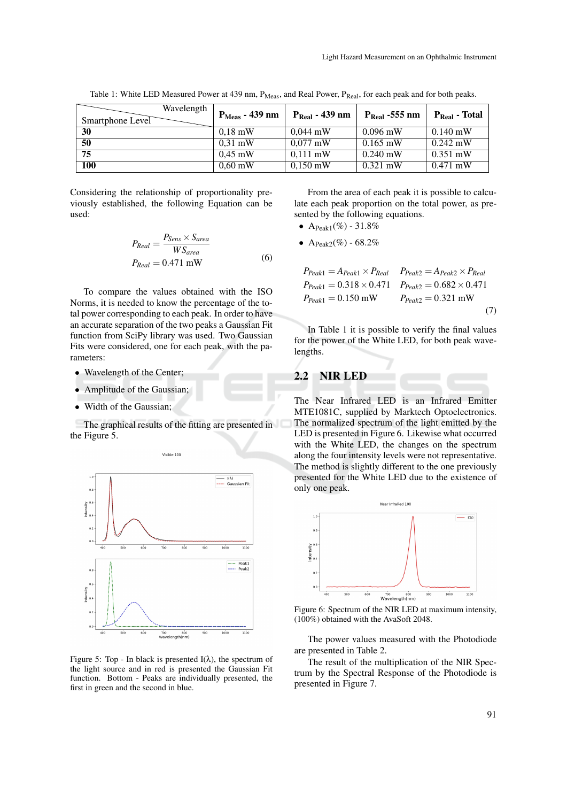| Wavelength<br>Smartphone Level | $PMeas - 439$ nm | $P_{Real} - 439$ nm | $P_{\text{Real}}$ -555 nm | $P_{Real}$ - Total |
|--------------------------------|------------------|---------------------|---------------------------|--------------------|
| 30                             | $0.18$ mW        | $0.044$ mW          | $0.096$ mW                | $0.140 \text{ mW}$ |
| 50                             | $0.31$ mW        | $0.077$ mW          | $0.165$ mW                | $0.242$ mW         |
| 75                             | $0.45$ mW        | $0.111$ mW          | $0.240$ mW                | $0.351$ mW         |
| <b>100</b>                     | $0.60$ mW        | $0,150$ mW          | $0.321$ mW                | $0.471$ mW         |

Table 1: White LED Measured Power at 439 nm, P<sub>Meas</sub>, and Real Power, P<sub>Real</sub>, for each peak and for both peaks.

Considering the relationship of proportionality previously established, the following Equation can be used:

$$
P_{Real} = \frac{P_{Sens} \times S_{area}}{WS_{area}}
$$
  
\n
$$
P_{Real} = 0.471 \text{ mW}
$$
 (6)

To compare the values obtained with the ISO Norms, it is needed to know the percentage of the total power corresponding to each peak. In order to have an accurate separation of the two peaks a Gaussian Fit function from SciPy library was used. Two Gaussian Fits were considered, one for each peak, with the parameters:

- Wavelength of the Center;
- Amplitude of the Gaussian;
- Width of the Gaussian;

The graphical results of the fitting are presented in the Figure 5.



Figure 5: Top - In black is presented  $I(\lambda)$ , the spectrum of the light source and in red is presented the Gaussian Fit function. Bottom - Peaks are individually presented, the first in green and the second in blue.

From the area of each peak it is possible to calculate each peak proportion on the total power, as presented by the following equations.

- A $P$ eak1(%) 31.8%
- A $P_{\text{peak2}}(\%)$  68.2%

$$
P_{Peak1} = A_{Peak1} \times P_{Real} \qquad P_{Peak2} = A_{Peak2} \times P_{Real}
$$
  
\n
$$
P_{Peak1} = 0.318 \times 0.471 \qquad P_{Peak2} = 0.682 \times 0.471
$$
  
\n
$$
P_{Peak1} = 0.150 \text{ mW} \qquad P_{Peak2} = 0.321 \text{ mW}
$$
  
\n(7)

In Table 1 it is possible to verify the final values for the power of the White LED, for both peak wavelengths.

# 2.2 NIR LED

The Near Infrared LED is an Infrared Emitter MTE1081C, supplied by Marktech Optoelectronics. The normalized spectrum of the light emitted by the LED is presented in Figure 6. Likewise what occurred with the White LED, the changes on the spectrum along the four intensity levels were not representative. The method is slightly different to the one previously presented for the White LED due to the existence of only one peak.



Figure 6: Spectrum of the NIR LED at maximum intensity, (100%) obtained with the AvaSoft 2048.

The power values measured with the Photodiode are presented in Table 2.

The result of the multiplication of the NIR Spectrum by the Spectral Response of the Photodiode is presented in Figure 7.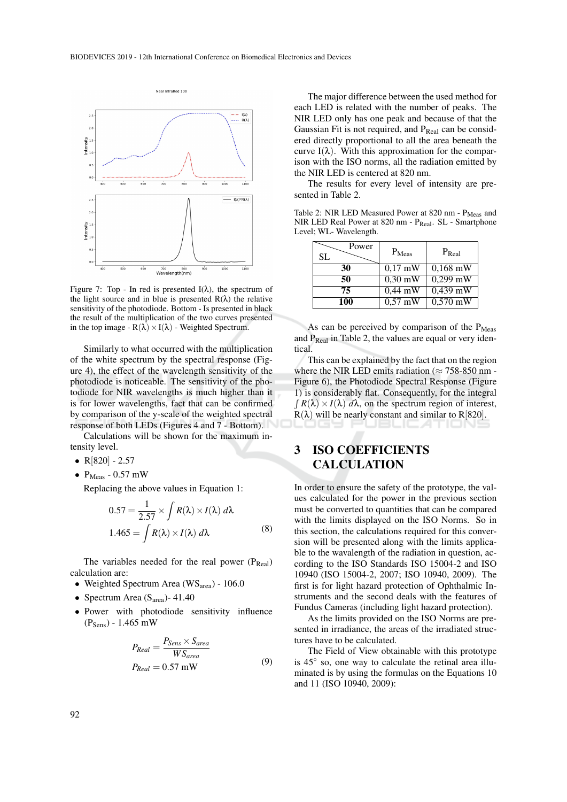

Figure 7: Top - In red is presented  $I(\lambda)$ , the spectrum of the light source and in blue is presented  $R(\lambda)$  the relative sensitivity of the photodiode. Bottom - Is presented in black the result of the multiplication of the two curves presented in the top image -  $R(\lambda) \times I(\lambda)$  - Weighted Spectrum.

Similarly to what occurred with the multiplication of the white spectrum by the spectral response (Figure 4), the effect of the wavelength sensitivity of the photodiode is noticeable. The sensitivity of the photodiode for NIR wavelengths is much higher than it is for lower wavelengths, fact that can be confirmed by comparison of the y-scale of the weighted spectral response of both LEDs (Figures 4 and 7 - Bottom).

Calculations will be shown for the maximum intensity level.

- $R[820] 2.57$
- $P_{Meas}$  0.57 mW

Replacing the above values in Equation 1:

$$
0.57 = \frac{1}{2.57} \times \int R(\lambda) \times I(\lambda) d\lambda
$$
  

$$
1.465 = \int R(\lambda) \times I(\lambda) d\lambda
$$
 (8)

The variables needed for the real power  $(P_{Real})$ calculation are:

- Weighted Spectrum Area (WS<sub>area</sub>) 106.0
- Spectrum Area ( $S<sub>area</sub>$ ) 41.40
- Power with photodiode sensitivity influence  $(P_{Sens}) - 1.465$  mW

$$
P_{Real} = \frac{P_{Sens} \times S_{area}}{WS_{area}}
$$
  
\n
$$
P_{Real} = 0.57 \text{ mW}
$$
 (9)

The major difference between the used method for each LED is related with the number of peaks. The NIR LED only has one peak and because of that the Gaussian Fit is not required, and  $P_{Real}$  can be considered directly proportional to all the area beneath the curve  $I(\lambda)$ . With this approximation for the comparison with the ISO norms, all the radiation emitted by the NIR LED is centered at 820 nm.

The results for every level of intensity are presented in Table 2.

Table 2: NIR LED Measured Power at 820 nm - P<sub>Meas</sub> and NIR LED Real Power at 820 nm - P<sub>Real</sub>. SL - Smartphone Level; WL- Wavelength.

| Power<br>SL. | $P_{Meas}$        | $P_{Real}$ |
|--------------|-------------------|------------|
| 30           | $0,17$ mW         | $0.168$ mW |
| 50           | $0.30 \text{ mW}$ | $0,299$ mW |
| 75           | $0.44$ mW         | $0,439$ mW |
| 100          | $0.57$ mW         | $0,570$ mW |

As can be perceived by comparison of the  $P_{Meas}$ and  $P_{Real}$  in Table 2, the values are equal or very identical.

This can be explained by the fact that on the region where the NIR LED emits radiation ( $\approx$  758-850 nm -Figure 6), the Photodiode Spectral Response (Figure 1) is considerably flat. Consequently, for the integral  $\int R(\lambda) \times I(\lambda) d\lambda$ , on the spectrum region of interest,  $R(\lambda)$  will be nearly constant and similar to R[820].

# 3 ISO COEFFICIENTS CALCULATION

In order to ensure the safety of the prototype, the values calculated for the power in the previous section must be converted to quantities that can be compared with the limits displayed on the ISO Norms. So in this section, the calculations required for this conversion will be presented along with the limits applicable to the wavalength of the radiation in question, according to the ISO Standards ISO 15004-2 and ISO 10940 (ISO 15004-2, 2007; ISO 10940, 2009). The first is for light hazard protection of Ophthalmic Instruments and the second deals with the features of Fundus Cameras (including light hazard protection).

As the limits provided on the ISO Norms are presented in irradiance, the areas of the irradiated structures have to be calculated.

The Field of View obtainable with this prototype is 45◦ so, one way to calculate the retinal area illuminated is by using the formulas on the Equations 10 and 11 (ISO 10940, 2009):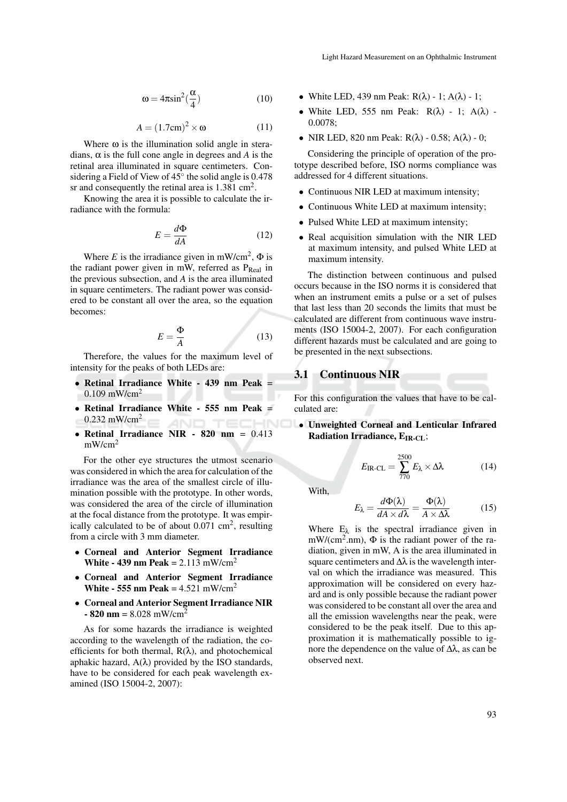$$
\omega = 4\pi \sin^2(\frac{\alpha}{4})\tag{10}
$$

$$
A = (1.7 \text{cm})^2 \times \omega \tag{11}
$$

Where  $\omega$  is the illumination solid angle in steradians,  $\alpha$  is the full cone angle in degrees and *A* is the retinal area illuminated in square centimeters. Considering a Field of View of  $45^{\circ}$  the solid angle is 0.478 sr and consequently the retinal area is  $1.381 \text{ cm}^2$ .

Knowing the area it is possible to calculate the irradiance with the formula:

$$
E = \frac{d\Phi}{dA} \tag{12}
$$

Where *E* is the irradiance given in mW/cm<sup>2</sup>,  $\Phi$  is the radiant power given in mW, referred as  $P_{Real}$  in the previous subsection, and *A* is the area illuminated in square centimeters. The radiant power was considered to be constant all over the area, so the equation becomes:

$$
E = \frac{\Phi}{A} \tag{13}
$$

Therefore, the values for the maximum level of intensity for the peaks of both LEDs are:

- Retinal Irradiance White 439 nm Peak =  $0.109$  mW/cm<sup>2</sup>
- Retinal Irradiance White 555 nm Peak =  $0.232$  mW/cm<sup>2</sup> **ANI**
- Retinal Irradiance NIR 820 nm = 0.413 mW/cm<sup>2</sup>

For the other eye structures the utmost scenario was considered in which the area for calculation of the irradiance was the area of the smallest circle of illumination possible with the prototype. In other words, was considered the area of the circle of illumination at the focal distance from the prototype. It was empirically calculated to be of about  $0.071 \text{ cm}^2$ , resulting from a circle with 3 mm diameter.

- Corneal and Anterior Segment Irradiance White - 439 nm Peak =  $2.113$  mW/cm<sup>2</sup>
- Corneal and Anterior Segment Irradiance White - 555 nm Peak =  $4.521$  mW/cm<sup>2</sup>
- Corneal and Anterior Segment Irradiance NIR  $-$  820 nm = 8.028 mW/cm<sup>2</sup>

As for some hazards the irradiance is weighted according to the wavelength of the radiation, the coefficients for both thermal,  $R(\lambda)$ , and photochemical aphakic hazard,  $A(\lambda)$  provided by the ISO standards, have to be considered for each peak wavelength examined (ISO 15004-2, 2007):

- White LED, 439 nm Peak:  $R(\lambda)$  1;  $A(\lambda)$  1;
- White LED, 555 nm Peak:  $R(\lambda)$  1;  $A(\lambda)$  -0.0078;
- NIR LED, 820 nm Peak:  $R(\lambda)$  0.58;  $A(\lambda)$  0;

Considering the principle of operation of the prototype described before, ISO norms compliance was addressed for 4 different situations.

- Continuous NIR LED at maximum intensity;
- Continuous White LED at maximum intensity;
- Pulsed White LED at maximum intensity;
- Real acquisition simulation with the NIR LED at maximum intensity, and pulsed White LED at maximum intensity.

The distinction between continuous and pulsed occurs because in the ISO norms it is considered that when an instrument emits a pulse or a set of pulses that last less than 20 seconds the limits that must be calculated are different from continuous wave instruments (ISO 15004-2, 2007). For each configuration different hazards must be calculated and are going to be presented in the next subsections.

### 3.1 Continuous NIR

For this configuration the values that have to be calculated are:

• Unweighted Corneal and Lenticular Infrared Radiation Irradiance,  $E_{IR-CL}$ ;

$$
E_{\text{IR-CL}} = \sum_{770}^{2500} E_{\lambda} \times \Delta\lambda \tag{14}
$$

With,

$$
E_{\lambda} = \frac{d\Phi(\lambda)}{dA \times d\lambda} = \frac{\Phi(\lambda)}{A \times \Delta\lambda}
$$
 (15)

Where  $E_{\lambda}$  is the spectral irradiance given in mW/(cm<sup>2</sup>.nm),  $\Phi$  is the radiant power of the radiation, given in mW, A is the area illuminated in square centimeters and  $\Delta\lambda$  is the wavelength interval on which the irradiance was measured. This approximation will be considered on every hazard and is only possible because the radiant power was considered to be constant all over the area and all the emission wavelengths near the peak, were considered to be the peak itself. Due to this approximation it is mathematically possible to ignore the dependence on the value of  $\Delta\lambda$ , as can be observed next.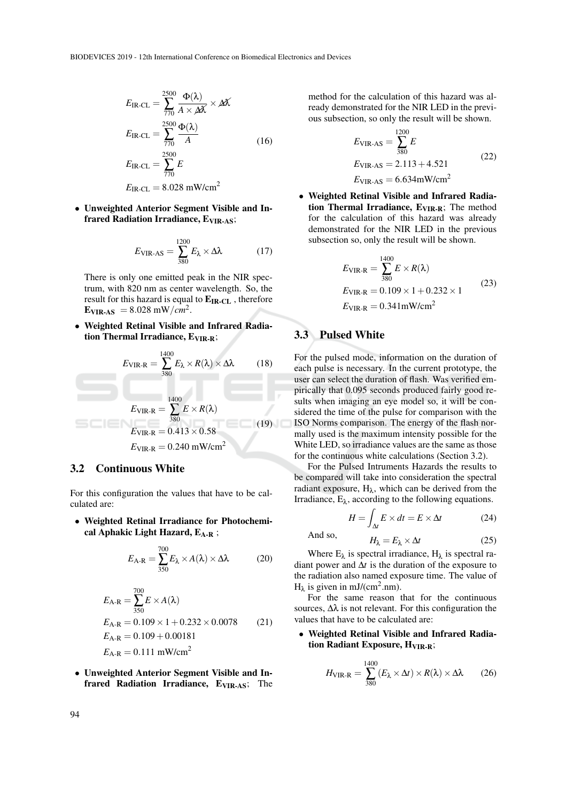$$
E_{\text{IR-CL}} = \sum_{770}^{2500} \frac{\Phi(\lambda)}{A \times \Delta X} \times \Delta X
$$

$$
E_{\text{IR-CL}} = \sum_{770}^{2500} \frac{\Phi(\lambda)}{A}
$$
(16)
$$
E_{\text{IR-CL}} = \sum_{770}^{2500} E
$$

$$
E_{\text{IR-CL}} = 8.028 \text{ mW/cm}^2
$$

• Unweighted Anterior Segment Visible and Infrared Radiation Irradiance, E<sub>VIR-AS</sub>;

$$
E_{\text{VIR-AS}} = \sum_{380}^{1200} E_{\lambda} \times \Delta \lambda \tag{17}
$$

There is only one emitted peak in the NIR spectrum, with 820 nm as center wavelength. So, the result for this hazard is equal to  $E_{IR-CL}$ , therefore  $E_{VIR-AS}$  = 8.028 mW/*cm*<sup>2</sup>.

• Weighted Retinal Visible and Infrared Radiation Thermal Irradiance,  $E_{VIR-R}$ ;

$$
E_{\text{VIR-R}} = \sum_{380}^{1400} E_{\lambda} \times R(\lambda) \times \Delta\lambda \qquad (18)
$$
  

$$
E_{\text{VIR-R}} = \sum_{380}^{1400} E \times R(\lambda)
$$
  

$$
E_{\text{VIR-R}} = 0.413 \times 0.58
$$
  

$$
E_{\text{VIR-R}} = 0.240 \text{ mW/cm}^2
$$
 (19)

## 3.2 Continuous White

For this configuration the values that have to be calculated are:

• Weighted Retinal Irradiance for Photochemical Aphakic Light Hazard,  $E_{A-R}$ ;

$$
E_{A-R} = \sum_{350}^{700} E_{\lambda} \times A(\lambda) \times \Delta\lambda
$$
 (20)

$$
E_{A-R} = \sum_{350}^{700} E \times A(\lambda)
$$
  
\n
$$
E_{A-R} = 0.109 \times 1 + 0.232 \times 0.0078
$$
 (21)  
\n
$$
E_{A-R} = 0.109 + 0.00181
$$
  
\n
$$
E_{A-R} = 0.111 \text{ mW/cm}^2
$$

• Unweighted Anterior Segment Visible and Infrared Radiation Irradiance, E<sub>VIR-AS</sub>; The

method for the calculation of this hazard was already demonstrated for the NIR LED in the previous subsection, so only the result will be shown.

$$
E_{\text{VIR-AS}} = \sum_{380}^{1200} E
$$
  
\n
$$
E_{\text{VIR-AS}} = 2.113 + 4.521
$$
  
\n
$$
E_{\text{VIR-AS}} = 6.634 \text{mW/cm}^2
$$
 (22)

• Weighted Retinal Visible and Infrared Radiation Thermal Irradiance,  $E_{VIR-R}$ ; The method for the calculation of this hazard was already demonstrated for the NIR LED in the previous subsection so, only the result will be shown.

$$
E_{\text{VIR-R}} = \sum_{380}^{1400} E \times R(\lambda)
$$
  
\n
$$
E_{\text{VIR-R}} = 0.109 \times 1 + 0.232 \times 1
$$
  
\n
$$
E_{\text{VIR-R}} = 0.341 \text{mW/cm}^2
$$
 (23)

# 3.3 Pulsed White

For the pulsed mode, information on the duration of each pulse is necessary. In the current prototype, the user can select the duration of flash. Was verified empirically that 0.095 seconds produced fairly good results when imaging an eye model so, it will be considered the time of the pulse for comparison with the ISO Norms comparison. The energy of the flash normally used is the maximum intensity possible for the White LED, so irradiance values are the same as those for the continuous white calculations (Section 3.2).

For the Pulsed Intruments Hazards the results to be compared will take into consideration the spectral radiant exposure,  $H_{\lambda}$ , which can be derived from the Irradiance,  $E_{\lambda}$ , according to the following equations.

$$
H = \int_{\Delta t} E \times dt = E \times \Delta t \tag{24}
$$

And so, 
$$
H_{\lambda} = E_{\lambda} \times \Delta t
$$
 (25)

Where  $E_{\lambda}$  is spectral irradiance,  $H_{\lambda}$  is spectral radiant power and ∆*t* is the duration of the exposure to the radiation also named exposure time. The value of  $H_{\lambda}$  is given in mJ/(cm<sup>2</sup>.nm).

For the same reason that for the continuous sources,  $\Delta\lambda$  is not relevant. For this configuration the values that have to be calculated are:

• Weighted Retinal Visible and Infrared Radiation Radiant Exposure, H<sub>VIR-R</sub>;

$$
H_{\text{VIR-R}} = \sum_{380}^{1400} (E_{\lambda} \times \Delta t) \times R(\lambda) \times \Delta \lambda \qquad (26)
$$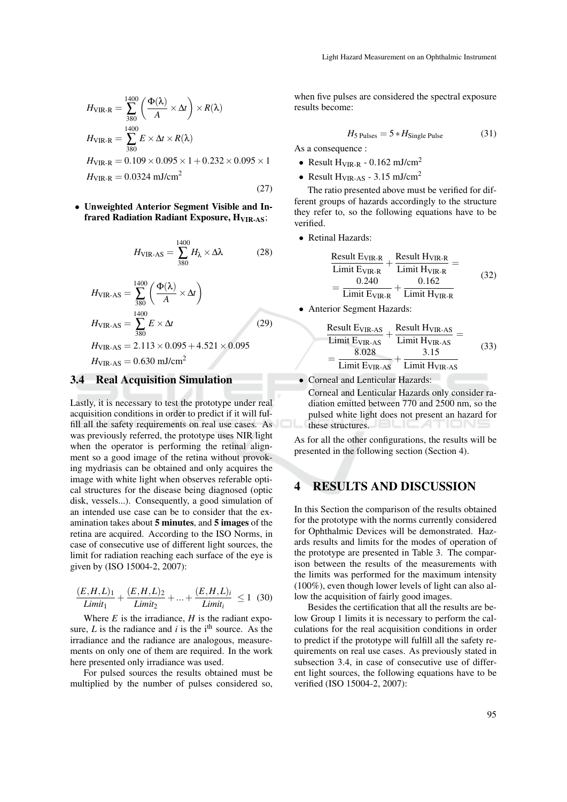$$
H_{\text{VIR-R}} = \sum_{380}^{1400} \left( \frac{\Phi(\lambda)}{A} \times \Delta t \right) \times R(\lambda)
$$
  
\n
$$
H_{\text{VIR-R}} = \sum_{380}^{1400} E \times \Delta t \times R(\lambda)
$$
  
\n
$$
H_{\text{VIR-R}} = 0.109 \times 0.095 \times 1 + 0.232 \times 0.095 \times 1
$$
  
\n
$$
H_{\text{VIR-R}} = 0.0324 \text{ mJ/cm}^2
$$
\n(27)

• Unweighted Anterior Segment Visible and Infrared Radiation Radiant Exposure, H<sub>VIR-AS</sub>;

$$
H_{\text{VIR-AS}} = \sum_{380}^{1400} H_{\lambda} \times \Delta\lambda \tag{28}
$$

$$
H_{\text{VIR-AS}} = \sum_{380}^{1400} \left( \frac{\Phi(\lambda)}{A} \times \Delta t \right)
$$
  
\n
$$
H_{\text{VIR-AS}} = \sum_{380}^{1400} E \times \Delta t
$$
 (29)  
\n
$$
H_{\text{VIR-AS}} = 2.113 \times 0.095 + 4.521 \times 0.095
$$
  
\n
$$
H_{\text{VIR-AS}} = 0.630 \text{ mJ/cm}^2
$$

#### 3.4 Real Acquisition Simulation

Lastly, it is necessary to test the prototype under real acquisition conditions in order to predict if it will fulfill all the safety requirements on real use cases. As was previously referred, the prototype uses NIR light when the operator is performing the retinal alignment so a good image of the retina without provoking mydriasis can be obtained and only acquires the image with white light when observes referable optical structures for the disease being diagnosed (optic disk, vessels...). Consequently, a good simulation of an intended use case can be to consider that the examination takes about 5 minutes, and 5 images of the retina are acquired. According to the ISO Norms, in case of consecutive use of different light sources, the limit for radiation reaching each surface of the eye is given by (ISO 15004-2, 2007):

$$
\frac{(E, H, L)_1}{Limit_1} + \frac{(E, H, L)_2}{Limit_2} + \dots + \frac{(E, H, L)_i}{Limit_i} \le 1 \tag{30}
$$

Where  $E$  is the irradiance,  $H$  is the radiant exposure,  $L$  is the radiance and  $i$  is the i<sup>th</sup> source. As the irradiance and the radiance are analogous, measurements on only one of them are required. In the work here presented only irradiance was used.

For pulsed sources the results obtained must be multiplied by the number of pulses considered so,

when five pulses are considered the spectral exposure results become:

$$
H_5 \text{ Pulses} = 5 * H_{\text{Single Pulse}} \tag{31}
$$

As a consequence :

- Result  $H_{VIR-R}$  0.162 mJ/cm<sup>2</sup>
- Result  $H_{VIR-AS}$  3.15 mJ/cm<sup>2</sup>

The ratio presented above must be verified for different groups of hazards accordingly to the structure they refer to, so the following equations have to be verified.

• Retinal Hazards:

$$
\frac{\text{Result E}_{VIR-R}}{\text{Limit E}_{VIR-R}} + \frac{\text{Result H}_{VIR-R}}{\text{Limit H}_{VIR-R}} =
$$
\n
$$
= \frac{0.240}{\text{Limit E}_{VIR-R}} + \frac{0.162}{\text{Limit H}_{VIR-R}}
$$
\n(32)

• Anterior Segment Hazards:

$$
\frac{\text{Result E}_{\text{VIR-AS}}}{\text{Limit E}_{\text{VIR-AS}}} + \frac{\text{Result H}_{\text{VIR-AS}}}{\text{Limit H}_{\text{VIR-AS}}} =
$$
\n
$$
= \frac{8.028}{\text{Limit E}_{\text{VIR-AS}}} + \frac{3.15}{\text{Limit H}_{\text{VIR-AS}}} \tag{33}
$$

• Corneal and Lenticular Hazards:

Corneal and Lenticular Hazards only consider radiation emitted between 770 and 2500 nm, so the pulsed white light does not present an hazard for these structures.

As for all the other configurations, the results will be presented in the following section (Section 4).

# 4 RESULTS AND DISCUSSION

In this Section the comparison of the results obtained for the prototype with the norms currently considered for Ophthalmic Devices will be demonstrated. Hazards results and limits for the modes of operation of the prototype are presented in Table 3. The comparison between the results of the measurements with the limits was performed for the maximum intensity (100%), even though lower levels of light can also allow the acquisition of fairly good images.

Besides the certification that all the results are below Group 1 limits it is necessary to perform the calculations for the real acquisition conditions in order to predict if the prototype will fulfill all the safety requirements on real use cases. As previously stated in subsection 3.4, in case of consecutive use of different light sources, the following equations have to be verified (ISO 15004-2, 2007):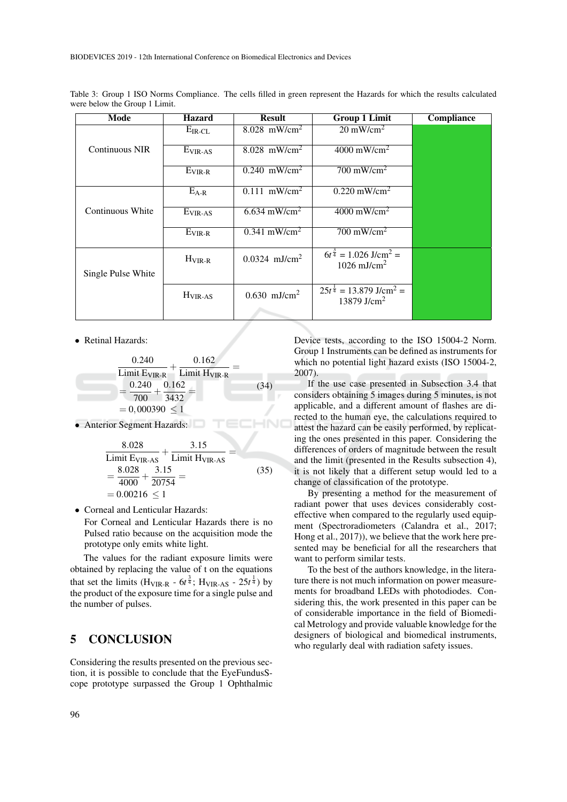| Mode                  | <b>Hazard</b>       | <b>Result</b>               | <b>Group 1 Limit</b>                                                        | Compliance |
|-----------------------|---------------------|-----------------------------|-----------------------------------------------------------------------------|------------|
|                       | $E_{IR-CL}$         | 8.028 mW/cm <sup>2</sup>    | $20 \text{ mW/cm}^2$                                                        |            |
| <b>Continuous NIR</b> | E <sub>VIR-AS</sub> | $8.028$ mW/cm <sup>2</sup>  | $4000$ mW/cm <sup>2</sup>                                                   |            |
|                       | $E_{VIR-R}$         | $0.240$ mW/cm <sup>2</sup>  | $700 \text{ mW/cm}^2$                                                       |            |
|                       | $E_{A-R}$           | $0.111$ mW/cm <sup>2</sup>  | $0.220$ mW/cm <sup>2</sup>                                                  |            |
| Continuous White      | $E_{VIR-AS}$        | $6.634$ mW/cm <sup>2</sup>  | $4000$ mW/cm <sup>2</sup>                                                   |            |
|                       | $E_{VIR-R}$         | $0.341$ mW/cm <sup>2</sup>  | $700 \text{ mW/cm}^2$                                                       |            |
| Single Pulse White    | $H_{VIR-R}$         | $0.0324$ mJ/cm <sup>2</sup> | $6t^{\frac{3}{4}} = 1.026$ J/cm <sup>2</sup> =<br>$1026$ mJ/cm <sup>2</sup> |            |
|                       | $H_{VIR-AS}$        | $0.630$ mJ/cm <sup>2</sup>  | $25t^{\frac{1}{4}} = 13.879$ J/cm <sup>2</sup> =<br>13879 J/cm <sup>2</sup> |            |
|                       |                     |                             |                                                                             |            |

Table 3: Group 1 ISO Norms Compliance. The cells filled in green represent the Hazards for which the results calculated were below the Group 1 Limit.

• Retinal Hazards:



• Anterior Segment Hazards:

$$
\frac{8.028}{\text{Limit Ev}_{\text{IR-AS}}} + \frac{3.15}{\text{Limit H}_{\text{VIR-AS}}} =
$$
\n
$$
= \frac{8.028}{4000} + \frac{3.15}{20754} =
$$
\n
$$
= 0.00216 \le 1
$$
\n(35)

• Corneal and Lenticular Hazards:

For Corneal and Lenticular Hazards there is no Pulsed ratio because on the acquisition mode the prototype only emits white light.

The values for the radiant exposure limits were obtained by replacing the value of t on the equations that set the limits ( $H_{VIR-R}$  -  $6t^{\frac{3}{4}}$ ;  $H_{VIR-AS}$  -  $25t^{\frac{1}{4}}$ ) by the product of the exposure time for a single pulse and the number of pulses.

### 5 CONCLUSION

Considering the results presented on the previous section, it is possible to conclude that the EyeFundusScope prototype surpassed the Group 1 Ophthalmic Device tests, according to the ISO 15004-2 Norm. Group 1 Instruments can be defined as instruments for which no potential light hazard exists (ISO 15004-2, 2007).

If the use case presented in Subsection 3.4 that considers obtaining 5 images during 5 minutes, is not applicable, and a different amount of flashes are directed to the human eye, the calculations required to attest the hazard can be easily performed, by replicating the ones presented in this paper. Considering the differences of orders of magnitude between the result and the limit (presented in the Results subsection 4), it is not likely that a different setup would led to a change of classification of the prototype.

By presenting a method for the measurement of radiant power that uses devices considerably costeffective when compared to the regularly used equipment (Spectroradiometers (Calandra et al., 2017; Hong et al., 2017)), we believe that the work here presented may be beneficial for all the researchers that want to perform similar tests.

To the best of the authors knowledge, in the literature there is not much information on power measurements for broadband LEDs with photodiodes. Considering this, the work presented in this paper can be of considerable importance in the field of Biomedical Metrology and provide valuable knowledge for the designers of biological and biomedical instruments, who regularly deal with radiation safety issues.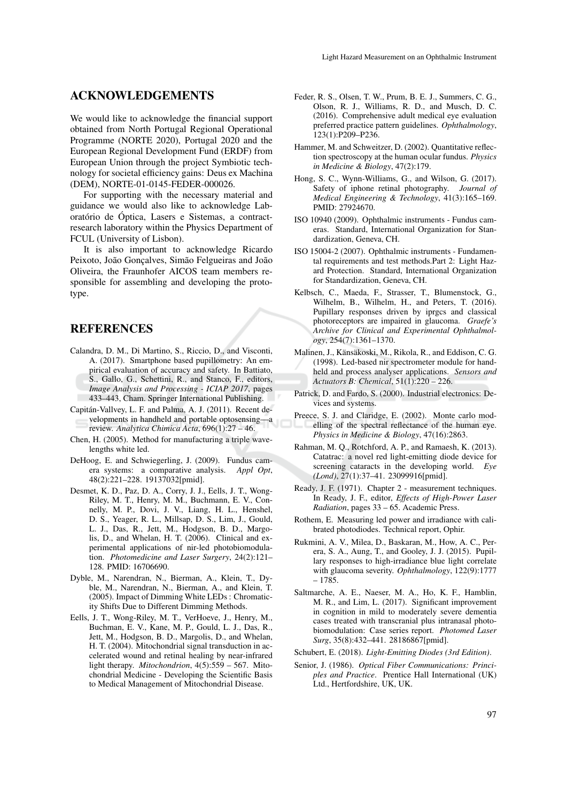## ACKNOWLEDGEMENTS

We would like to acknowledge the financial support obtained from North Portugal Regional Operational Programme (NORTE 2020), Portugal 2020 and the European Regional Development Fund (ERDF) from European Union through the project Symbiotic technology for societal efficiency gains: Deus ex Machina (DEM), NORTE-01-0145-FEDER-000026.

For supporting with the necessary material and guidance we would also like to acknowledge Laboratório de Óptica, Lasers e Sistemas, a contractresearch laboratory within the Physics Department of FCUL (University of Lisbon).

It is also important to acknowledge Ricardo Peixoto, João Gonçalves, Simão Felgueiras and João Oliveira, the Fraunhofer AICOS team members responsible for assembling and developing the prototype.

## **REFERENCES**

- Calandra, D. M., Di Martino, S., Riccio, D., and Visconti, A. (2017). Smartphone based pupillometry: An empirical evaluation of accuracy and safety. In Battiato, S., Gallo, G., Schettini, R., and Stanco, F., editors, *Image Analysis and Processing - ICIAP 2017*, pages 433–443, Cham. Springer International Publishing.
- Capitan-Vallvey, L. F. and Palma, A. J. (2011). Recent de- ´ velopments in handheld and portable optosensingreview. *Analytica Chimica Acta*, 696(1):27 – 46.
- Chen, H. (2005). Method for manufacturing a triple wavelengths white led.
- DeHoog, E. and Schwiegerling, J. (2009). Fundus camera systems: a comparative analysis. *Appl Opt*, 48(2):221–228. 19137032[pmid].
- Desmet, K. D., Paz, D. A., Corry, J. J., Eells, J. T., Wong-Riley, M. T., Henry, M. M., Buchmann, E. V., Connelly, M. P., Dovi, J. V., Liang, H. L., Henshel, D. S., Yeager, R. L., Millsap, D. S., Lim, J., Gould, L. J., Das, R., Jett, M., Hodgson, B. D., Margolis, D., and Whelan, H. T. (2006). Clinical and experimental applications of nir-led photobiomodulation. *Photomedicine and Laser Surgery*, 24(2):121– 128. PMID: 16706690.
- Dyble, M., Narendran, N., Bierman, A., Klein, T., Dyble, M., Narendran, N., Bierman, A., and Klein, T. (2005). Impact of Dimming White LEDs : Chromaticity Shifts Due to Different Dimming Methods.
- Eells, J. T., Wong-Riley, M. T., VerHoeve, J., Henry, M., Buchman, E. V., Kane, M. P., Gould, L. J., Das, R., Jett, M., Hodgson, B. D., Margolis, D., and Whelan, H. T. (2004). Mitochondrial signal transduction in accelerated wound and retinal healing by near-infrared light therapy. *Mitochondrion*, 4(5):559 – 567. Mitochondrial Medicine - Developing the Scientific Basis to Medical Management of Mitochondrial Disease.
- Feder, R. S., Olsen, T. W., Prum, B. E. J., Summers, C. G., Olson, R. J., Williams, R. D., and Musch, D. C. (2016). Comprehensive adult medical eye evaluation preferred practice pattern guidelines. *Ophthalmology*, 123(1):P209–P236.
- Hammer, M. and Schweitzer, D. (2002). Quantitative reflection spectroscopy at the human ocular fundus. *Physics in Medicine & Biology*, 47(2):179.
- Hong, S. C., Wynn-Williams, G., and Wilson, G. (2017). Safety of iphone retinal photography. *Journal of Medical Engineering & Technology*, 41(3):165–169. PMID: 27924670.
- ISO 10940 (2009). Ophthalmic instruments Fundus cameras. Standard, International Organization for Standardization, Geneva, CH.
- ISO 15004-2 (2007). Ophthalmic instruments Fundamental requirements and test methods.Part 2: Light Hazard Protection. Standard, International Organization for Standardization, Geneva, CH.
- Kelbsch, C., Maeda, F., Strasser, T., Blumenstock, G., Wilhelm, B., Wilhelm, H., and Peters, T. (2016). Pupillary responses driven by iprgcs and classical photoreceptors are impaired in glaucoma. *Graefe's Archive for Clinical and Experimental Ophthalmology*, 254(7):1361–1370.
- Malinen, J., Känsäkoski, M., Rikola, R., and Eddison, C. G. (1998). Led-based nir spectrometer module for handheld and process analyser applications. *Sensors and Actuators B: Chemical*, 51(1):220 – 226.
- Patrick, D. and Fardo, S. (2000). Industrial electronics: Devices and systems.
- Preece, S. J. and Claridge, E. (2002). Monte carlo modelling of the spectral reflectance of the human eye. *Physics in Medicine & Biology*, 47(16):2863.
- Rahman, M. Q., Rotchford, A. P., and Ramaesh, K. (2013). Catatrac: a novel red light-emitting diode device for screening cataracts in the developing world. *Eye (Lond)*, 27(1):37–41. 23099916[pmid].
- Ready, J. F. (1971). Chapter 2 measurement techniques. In Ready, J. F., editor, *Effects of High-Power Laser Radiation*, pages 33 – 65. Academic Press.
- Rothem, E. Measuring led power and irradiance with calibrated photodiodes. Technical report, Ophir.
- Rukmini, A. V., Milea, D., Baskaran, M., How, A. C., Perera, S. A., Aung, T., and Gooley, J. J. (2015). Pupillary responses to high-irradiance blue light correlate with glaucoma severity. *Ophthalmology*, 122(9):1777 – 1785.
- Saltmarche, A. E., Naeser, M. A., Ho, K. F., Hamblin, M. R., and Lim, L. (2017). Significant improvement in cognition in mild to moderately severe dementia cases treated with transcranial plus intranasal photobiomodulation: Case series report. *Photomed Laser Surg*, 35(8):432–441. 28186867[pmid].
- Schubert, E. (2018). *Light-Emitting Diodes (3rd Edition)*.
- Senior, J. (1986). *Optical Fiber Communications: Principles and Practice*. Prentice Hall International (UK) Ltd., Hertfordshire, UK, UK.